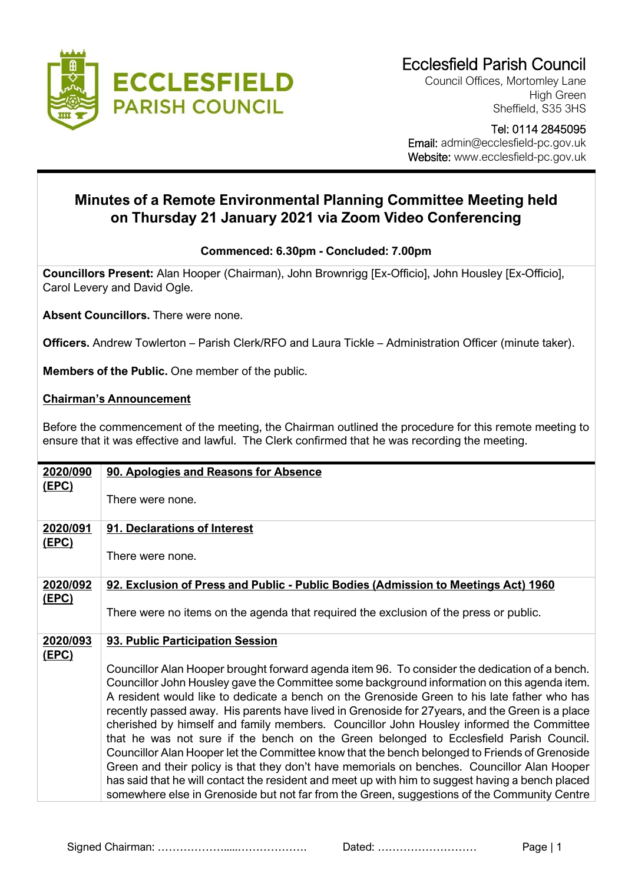

Council Offices, Mortomley Lane High Green Sheffield, S35 3HS

 Tel: 0114 2845095 Email: admin@ecclesfield-pc.gov.uk Website: www.ecclesfield-pc.gov.uk

## **Minutes of a Remote Environmental Planning Committee Meeting held on Thursday 21 January 2021 via Zoom Video Conferencing**

## **Commenced: 6.30pm - Concluded: 7.00pm**

**Councillors Present:** Alan Hooper (Chairman), John Brownrigg [Ex-Officio], John Housley [Ex-Officio], Carol Levery and David Ogle.

**Absent Councillors.** There were none.

**Officers.** Andrew Towlerton – Parish Clerk/RFO and Laura Tickle – Administration Officer (minute taker).

**Members of the Public.** One member of the public.

## **Chairman's Announcement**

Before the commencement of the meeting, the Chairman outlined the procedure for this remote meeting to ensure that it was effective and lawful. The Clerk confirmed that he was recording the meeting.

| 2020/090     | 90. Apologies and Reasons for Absence                                                                                                                                                           |
|--------------|-------------------------------------------------------------------------------------------------------------------------------------------------------------------------------------------------|
| (EPC)        |                                                                                                                                                                                                 |
|              | There were none.                                                                                                                                                                                |
| 2020/091     | 91. Declarations of Interest                                                                                                                                                                    |
| (EPC)        |                                                                                                                                                                                                 |
|              | There were none.                                                                                                                                                                                |
| 2020/092     | 92. Exclusion of Press and Public - Public Bodies (Admission to Meetings Act) 1960                                                                                                              |
| <u>(EPC)</u> |                                                                                                                                                                                                 |
|              | There were no items on the agenda that required the exclusion of the press or public.                                                                                                           |
| 2020/093     | 93. Public Participation Session                                                                                                                                                                |
| <u>(EPC)</u> |                                                                                                                                                                                                 |
|              | Councillor Alan Hooper brought forward agenda item 96. To consider the dedication of a bench.                                                                                                   |
|              | Councillor John Housley gave the Committee some background information on this agenda item.<br>A resident would like to dedicate a bench on the Grenoside Green to his late father who has      |
|              | recently passed away. His parents have lived in Grenoside for 27 years, and the Green is a place                                                                                                |
|              | cherished by himself and family members. Councillor John Housley informed the Committee                                                                                                         |
|              | that he was not sure if the bench on the Green belonged to Ecclesfield Parish Council.                                                                                                          |
|              | Councillor Alan Hooper let the Committee know that the bench belonged to Friends of Grenoside                                                                                                   |
|              | Green and their policy is that they don't have memorials on benches. Councillor Alan Hooper<br>has said that he will contact the resident and meet up with him to suggest having a bench placed |
|              | somewhere else in Grenoside but not far from the Green, suggestions of the Community Centre                                                                                                     |

Signed Chairman: ……………….....………………. Dated: ……………………… Page | 1